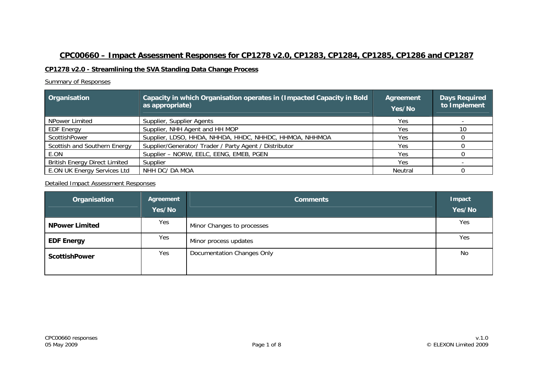# **CPC00660 – Impact Assessment Responses for CP1278 v2.0, CP1283, CP1284, CP1285, CP1286 and CP1287**

#### **CP1278 v2.0 - Streamlining the SVA Standing Data Change Process**

#### Summary of Responses

| Organisation                         | Capacity in which Organisation operates in (Impacted Capacity in Bold<br>as appropriate) | <b>Agreement</b><br>Yes/No | <b>Days Required</b><br>to Implement |
|--------------------------------------|------------------------------------------------------------------------------------------|----------------------------|--------------------------------------|
| NPower Limited                       | Supplier, Supplier Agents                                                                | Yes.                       |                                      |
| <b>EDF Energy</b>                    | Supplier, NHH Agent and HH MOP                                                           | Yes.                       | 10                                   |
| <b>ScottishPower</b>                 | Supplier, LDSO, HHDA, NHHDA, HHDC, NHHDC, HHMOA, NHHMOA                                  | <b>Yes</b>                 |                                      |
| Scottish and Southern Energy         | Supplier/Generator/ Trader / Party Agent / Distributor                                   | Yes                        |                                      |
| E.ON                                 | Supplier - NORW, EELC, EENG, EMEB, PGEN                                                  | Yes                        |                                      |
| <b>British Energy Direct Limited</b> | Supplier                                                                                 | <b>Yes</b>                 |                                      |
| E.ON UK Energy Services Ltd          | NHH DC/ DA MOA                                                                           | Neutral                    |                                      |

| Organisation          | Agreement<br>Yes/No | <b>Comments</b>            | Impact<br>Yes/No |
|-----------------------|---------------------|----------------------------|------------------|
| <b>NPower Limited</b> | Yes                 | Minor Changes to processes | Yes              |
| <b>EDF Energy</b>     | Yes                 | Minor process updates      | Yes              |
| <b>ScottishPower</b>  | Yes                 | Documentation Changes Only | No               |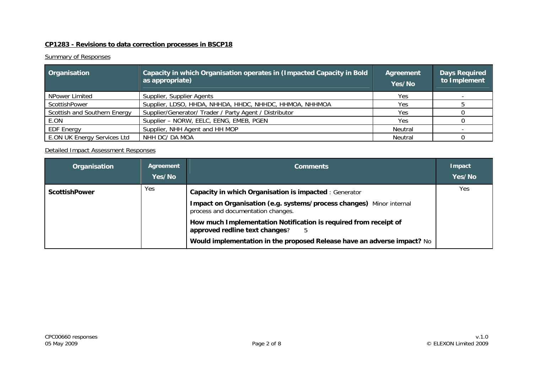### **CP1283 - Revisions to data correction processes in BSCP18**

#### **Summary of Responses**

| Organisation                 | Capacity in which Organisation operates in (Impacted Capacity in Bold<br>as appropriate) | Agreement<br>Yes/No | <b>Days Required</b><br>to Implement |
|------------------------------|------------------------------------------------------------------------------------------|---------------------|--------------------------------------|
| NPower Limited               | Supplier, Supplier Agents                                                                | Yes                 |                                      |
| ScottishPower                | Supplier, LDSO, HHDA, NHHDA, HHDC, NHHDC, HHMOA, NHHMOA                                  | Yes                 |                                      |
| Scottish and Southern Energy | Supplier/Generator/ Trader / Party Agent / Distributor                                   | <b>Yes</b>          |                                      |
| E.ON                         | Supplier - NORW, EELC, EENG, EMEB, PGEN                                                  | <b>Yes</b>          |                                      |
| <b>EDF Energy</b>            | Supplier, NHH Agent and HH MOP                                                           | Neutral             |                                      |
| E.ON UK Energy Services Ltd  | NHH DC/ DA MOA                                                                           | Neutral             |                                      |

| Organisation         | Agreement<br>Yes/No | <b>Comments</b>                                                                                                                                                                    | Impact<br>Yes/No |
|----------------------|---------------------|------------------------------------------------------------------------------------------------------------------------------------------------------------------------------------|------------------|
| <b>ScottishPower</b> | Yes.                | Capacity in which Organisation is impacted : Generator<br>Impact on Organisation (e.g. systems/process changes) Minor internal<br>process and documentation changes.               | <b>Yes</b>       |
|                      |                     | How much Implementation Notification is required from receipt of<br>approved redline text changes?<br>5<br>Would implementation in the proposed Release have an adverse impact? No |                  |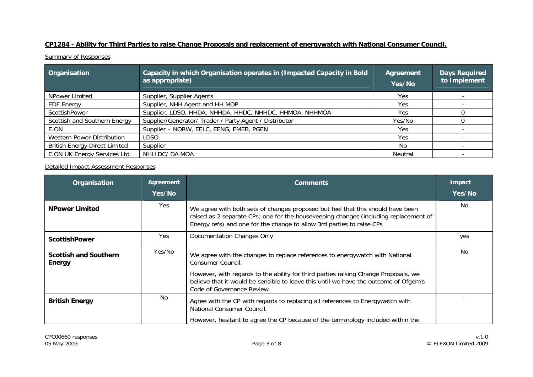# **CP1284 - Ability for Third Parties to raise Change Proposals and replacement of energywatch with National Consumer Council.**

**Summary of Responses** 

| Organisation                         | Capacity in which Organisation operates in (Impacted Capacity in Bold<br>as appropriate) | Agreement<br>Yes/No | <b>Days Required</b><br>to Implement |
|--------------------------------------|------------------------------------------------------------------------------------------|---------------------|--------------------------------------|
| NPower Limited                       | Supplier, Supplier Agents                                                                | Yes                 |                                      |
| <b>EDF Energy</b>                    | Supplier, NHH Agent and HH MOP                                                           | Yes.                |                                      |
| ScottishPower                        | Supplier, LDSO, HHDA, NHHDA, HHDC, NHHDC, HHMOA, NHHMOA                                  | Yes                 |                                      |
| Scottish and Southern Energy         | Supplier/Generator/ Trader / Party Agent / Distributor                                   | Yes/No              |                                      |
| E.ON                                 | Supplier - NORW, EELC, EENG, EMEB, PGEN                                                  | Yes.                |                                      |
| Western Power Distribution           | LDSO                                                                                     | Yes.                |                                      |
| <b>British Energy Direct Limited</b> | Supplier                                                                                 | No.                 |                                      |
| E.ON UK Energy Services Ltd          | NHH DC/ DA MOA                                                                           | Neutral             |                                      |

| Organisation                                  | Agreement<br>Yes/No | <b>Comments</b>                                                                                                                                                                                                                                                                                                | <b>Impact</b><br>Yes/No |
|-----------------------------------------------|---------------------|----------------------------------------------------------------------------------------------------------------------------------------------------------------------------------------------------------------------------------------------------------------------------------------------------------------|-------------------------|
| <b>NPower Limited</b>                         | Yes                 | We agree with both sets of changes proposed but feel that this should have been<br>raised as 2 separate CPs; one for the housekeeping changes (including replacement of<br>Energy refs) and one for the change to allow 3rd parties to raise CPs                                                               | No.                     |
| <b>ScottishPower</b>                          | Yes                 | Documentation Changes Only                                                                                                                                                                                                                                                                                     | yes                     |
| <b>Scottish and Southern</b><br><b>Energy</b> | Yes/No              | We agree with the changes to replace references to energywatch with National<br>Consumer Council.<br>However, with regards to the ability for third parties raising Change Proposals, we<br>believe that it would be sensible to leave this until we have the outcome of Ofgem's<br>Code of Governance Review. | No                      |
| <b>British Energy</b>                         | No.                 | Agree with the CP with regards to replacing all references to Energywatch with<br>National Consumer Council.<br>However, hesitant to agree the CP because of the terminology included within the                                                                                                               |                         |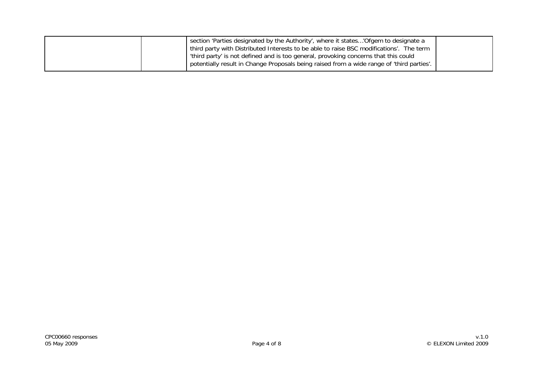| I section 'Parties designated by the Authority', where it states'Ofgem to designate a     |  |
|-------------------------------------------------------------------------------------------|--|
|                                                                                           |  |
| third party with Distributed Interests to be able to raise BSC modifications'. The term   |  |
| 'third party' is not defined and is too general, provoking concerns that this could       |  |
| potentially result in Change Proposals being raised from a wide range of 'third parties'. |  |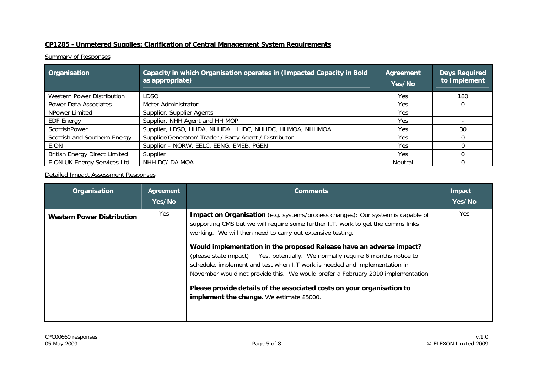#### **CP1285 - Unmetered Supplies: Clarification of Central Management System Requirements**

#### **Summary of Responses**

| Organisation                         | Capacity in which Organisation operates in (Impacted Capacity in Bold<br>as appropriate) | Agreement<br>Yes/No | Days Required<br>to Implement |
|--------------------------------------|------------------------------------------------------------------------------------------|---------------------|-------------------------------|
| Western Power Distribution           | LDSO                                                                                     | <b>Yes</b>          | 180                           |
| Power Data Associates                | Meter Administrator                                                                      | <b>Yes</b>          |                               |
| NPower Limited                       | Supplier, Supplier Agents                                                                | Yes                 |                               |
| <b>EDF Energy</b>                    | Supplier, NHH Agent and HH MOP                                                           | Yes.                |                               |
| ScottishPower                        | Supplier, LDSO, HHDA, NHHDA, HHDC, NHHDC, HHMOA, NHHMOA                                  | Yes.                | 30                            |
| Scottish and Southern Energy         | Supplier/Generator/ Trader / Party Agent / Distributor                                   | Yes                 |                               |
| E.ON                                 | Supplier - NORW, EELC, EENG, EMEB, PGEN                                                  | Yes.                |                               |
| <b>British Energy Direct Limited</b> | Supplier                                                                                 | <b>Yes</b>          |                               |
| E.ON UK Energy Services Ltd          | NHH DC/ DA MOA                                                                           | Neutral             |                               |

| Organisation                      | Agreement<br>Yes/No | <b>Comments</b>                                                                                                                                                                                                                                                                                                                                                                                                                                                                                                                                                                                                                                                                            | Impact<br>Yes/No |
|-----------------------------------|---------------------|--------------------------------------------------------------------------------------------------------------------------------------------------------------------------------------------------------------------------------------------------------------------------------------------------------------------------------------------------------------------------------------------------------------------------------------------------------------------------------------------------------------------------------------------------------------------------------------------------------------------------------------------------------------------------------------------|------------------|
| <b>Western Power Distribution</b> | Yes                 | <b>Impact on Organisation</b> (e.g. systems/process changes): Our system is capable of<br>supporting CMS but we will require some further I.T. work to get the comms links<br>working. We will then need to carry out extensive testing.<br>Would implementation in the proposed Release have an adverse impact?<br>(please state impact) Yes, potentially. We normally require 6 months notice to<br>schedule, implement and test when I.T work is needed and implementation in<br>November would not provide this. We would prefer a February 2010 implementation.<br>Please provide details of the associated costs on your organisation to<br>implement the change. We estimate £5000. | Yes              |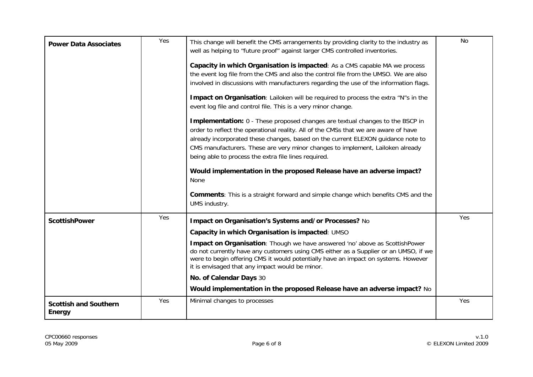| <b>Power Data Associates</b>                  | Yes | This change will benefit the CMS arrangements by providing clarity to the industry as<br>well as helping to "future proof" against larger CMS controlled inventories.<br>Capacity in which Organisation is impacted: As a CMS capable MA we process<br>the event log file from the CMS and also the control file from the UMSO. We are also<br>involved in discussions with manufacturers regarding the use of the information flags.<br>Impact on Organisation: Lailoken will be required to process the extra "N"s in the<br>event log file and control file. This is a very minor change.<br>Implementation: 0 - These proposed changes are textual changes to the BSCP in<br>order to reflect the operational reality. All of the CMSs that we are aware of have<br>already incorporated these changes, based on the current ELEXON guidance note to<br>CMS manufacturers. These are very minor changes to implement, Lailoken already<br>being able to process the extra file lines required.<br>Would implementation in the proposed Release have an adverse impact?<br><b>None</b><br><b>Comments:</b> This is a straight forward and simple change which benefits CMS and the<br>UMS industry. | No  |
|-----------------------------------------------|-----|--------------------------------------------------------------------------------------------------------------------------------------------------------------------------------------------------------------------------------------------------------------------------------------------------------------------------------------------------------------------------------------------------------------------------------------------------------------------------------------------------------------------------------------------------------------------------------------------------------------------------------------------------------------------------------------------------------------------------------------------------------------------------------------------------------------------------------------------------------------------------------------------------------------------------------------------------------------------------------------------------------------------------------------------------------------------------------------------------------------------------------------------------------------------------------------------------------|-----|
| <b>ScottishPower</b>                          | Yes | Impact on Organisation's Systems and/or Processes? No<br>Capacity in which Organisation is impacted: UMSO<br>Impact on Organisation: Though we have answered 'no' above as ScottishPower<br>do not currently have any customers using CMS either as a Supplier or an UMSO, if we<br>were to begin offering CMS it would potentially have an impact on systems. However<br>it is envisaged that any impact would be minor.<br>No. of Calendar Days 30<br>Would implementation in the proposed Release have an adverse impact? No                                                                                                                                                                                                                                                                                                                                                                                                                                                                                                                                                                                                                                                                        | Yes |
| <b>Scottish and Southern</b><br><b>Energy</b> | Yes | Minimal changes to processes                                                                                                                                                                                                                                                                                                                                                                                                                                                                                                                                                                                                                                                                                                                                                                                                                                                                                                                                                                                                                                                                                                                                                                           | Yes |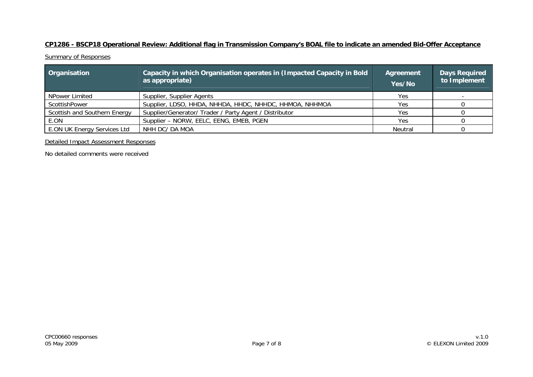### **CP1286 - BSCP18 Operational Review: Additional flag in Transmission Company's BOAL file to indicate an amended Bid-Offer Acceptance**

**Summary of Responses** 

| Organisation                 | Capacity in which Organisation operates in (Impacted Capacity in Bold<br>as appropriate) | Agreement<br>Yes/No | <b>Days Required</b><br>to Implement |
|------------------------------|------------------------------------------------------------------------------------------|---------------------|--------------------------------------|
| NPower Limited               | Supplier, Supplier Agents                                                                | Yes                 |                                      |
| ScottishPower                | Supplier, LDSO, HHDA, NHHDA, HHDC, NHHDC, HHMOA, NHHMOA                                  | Yes                 |                                      |
| Scottish and Southern Energy | Supplier/Generator/ Trader / Party Agent / Distributor                                   | <b>Yes</b>          |                                      |
| E.ON                         | Supplier - NORW, EELC, EENG, EMEB, PGEN                                                  | Yes                 |                                      |
| E.ON UK Energy Services Ltd  | NHH DC/ DA MOA                                                                           | Neutral             |                                      |

Detailed Impact Assessment Responses

No detailed comments were received